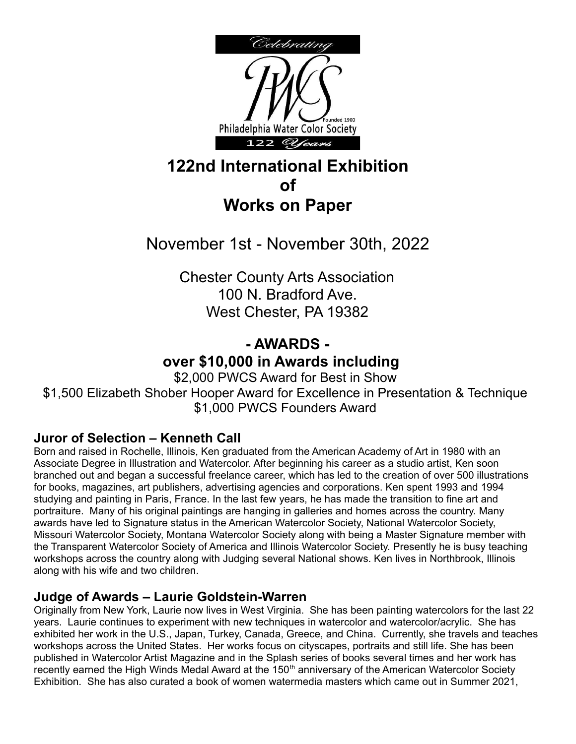

## **122nd International Exhibition of Works on Paper**

# November 1st - November 30th, 2022

Chester County Arts Association 100 N. Bradford Ave. West Chester, PA 19382

### **- AWARDS over \$10,000 in Awards including**

\$2,000 PWCS Award for Best in Show \$1,500 Elizabeth Shober Hooper Award for Excellence in Presentation & Technique \$1,000 PWCS Founders Award

#### **Juror of Selection – Kenneth Call**

Born and raised in Rochelle, Illinois, Ken graduated from the American Academy of Art in 1980 with an Associate Degree in Illustration and Watercolor. After beginning his career as a studio artist, Ken soon branched out and began a successful freelance career, which has led to the creation of over 500 illustrations for books, magazines, art publishers, advertising agencies and corporations. Ken spent 1993 and 1994 studying and painting in Paris, France. In the last few years, he has made the transition to fine art and portraiture. Many of his original paintings are hanging in galleries and homes across the country. Many awards have led to Signature status in the American Watercolor Society, National Watercolor Society, Missouri Watercolor Society, Montana Watercolor Society along with being a Master Signature member with the Transparent Watercolor Society of America and Illinois Watercolor Society. Presently he is busy teaching workshops across the country along with Judging several National shows. Ken lives in Northbrook, Illinois along with his wife and two children.

#### **Judge of Awards – Laurie Goldstein-Warren**

Originally from New York, Laurie now lives in West Virginia. She has been painting watercolors for the last 22 years. Laurie continues to experiment with new techniques in watercolor and watercolor/acrylic. She has exhibited her work in the U.S., Japan, Turkey, Canada, Greece, and China. Currently, she travels and teaches workshops across the United States. Her works focus on cityscapes, portraits and still life. She has been published in Watercolor Artist Magazine and in the Splash series of books several times and her work has recently earned the High Winds Medal Award at the 150<sup>th</sup> anniversary of the American Watercolor Society Exhibition. She has also curated a book of women watermedia masters which came out in Summer 2021,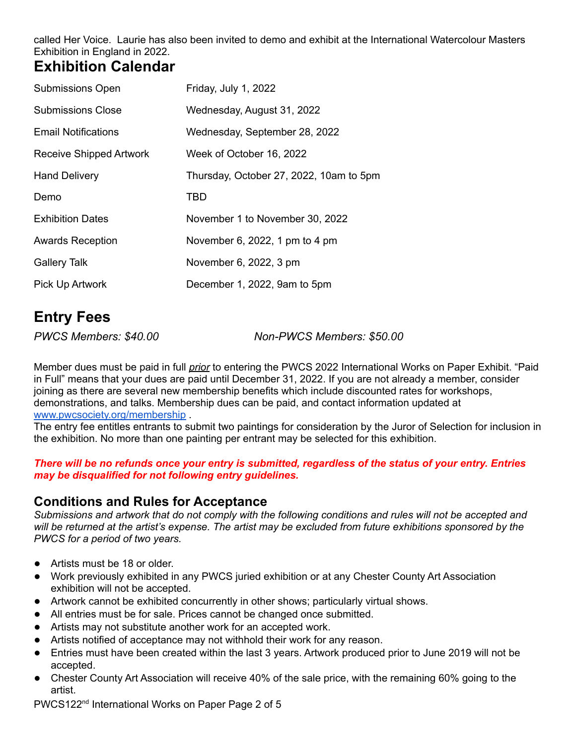called Her Voice. Laurie has also been invited to demo and exhibit at the International Watercolour Masters Exhibition in England in 2022.

### **Exhibition Calendar**

| <b>Submissions Open</b>    | Friday, July 1, 2022                    |
|----------------------------|-----------------------------------------|
| <b>Submissions Close</b>   | Wednesday, August 31, 2022              |
| <b>Email Notifications</b> | Wednesday, September 28, 2022           |
| Receive Shipped Artwork    | Week of October 16, 2022                |
| <b>Hand Delivery</b>       | Thursday, October 27, 2022, 10am to 5pm |
| Demo                       | TBD                                     |
| <b>Exhibition Dates</b>    | November 1 to November 30, 2022         |
| <b>Awards Reception</b>    | November 6, 2022, 1 pm to 4 pm          |
| <b>Gallery Talk</b>        | November 6, 2022, 3 pm                  |
| Pick Up Artwork            | December 1, 2022, 9am to 5pm            |

# **Entry Fees**

*PWCS Members: \$40.00 Non-PWCS Members: \$50.00*

Member dues must be paid in full *prior* to entering the PWCS 2022 International Works on Paper Exhibit. "Paid in Full" means that your dues are paid until December 31, 2022. If you are not already a member, consider joining as there are several new membership benefits which include discounted rates for workshops, demonstrations, and talks. Membership dues can be paid, and contact information updated at [www.pwcsociety.org/membership](http://www.pwcsociety.org/membership) .

The entry fee entitles entrants to submit two paintings for consideration by the Juror of Selection for inclusion in the exhibition. No more than one painting per entrant may be selected for this exhibition.

#### There will be no refunds once your entry is submitted, regardless of the status of your entry. Entries *may be disqualified for not following entry guidelines.*

#### **Conditions and Rules for Acceptance**

Submissions and artwork that do not comply with the following conditions and rules will not be accepted and will be returned at the artist's expense. The artist may be excluded from future exhibitions sponsored by the *PWCS for a period of two years.*

- Artists must be 18 or older.
- Work previously exhibited in any PWCS juried exhibition or at any Chester County Art Association exhibition will not be accepted.
- Artwork cannot be exhibited concurrently in other shows; particularly virtual shows.
- All entries must be for sale. Prices cannot be changed once submitted.
- **●** Artists may not substitute another work for an accepted work.
- **●** Artists notified of acceptance may not withhold their work for any reason.
- Entries must have been created within the last 3 years. Artwork produced prior to June 2019 will not be accepted.
- *●* Chester County Art Association will receive 40% of the sale price, with the remaining 60% going to the artist.

PWCS122<sup>nd</sup> International Works on Paper Page 2 of 5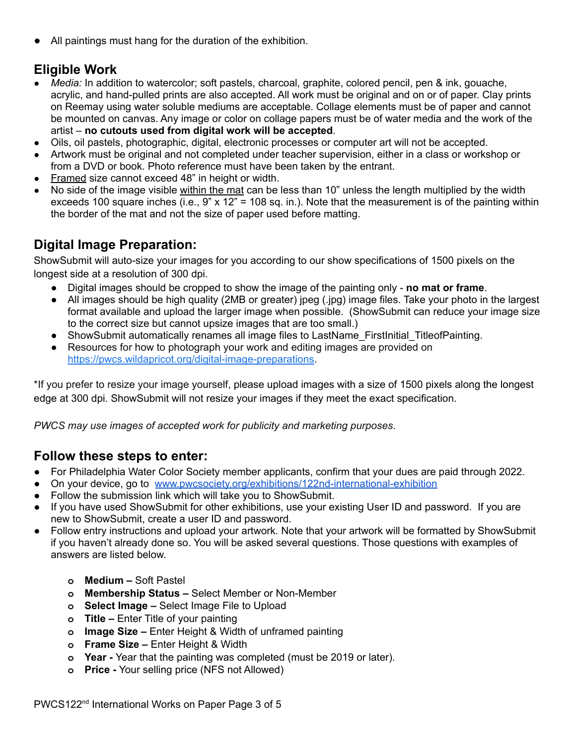All paintings must hang for the duration of the exhibition.

### **Eligible Work**

- *● Media:* In addition to watercolor; soft pastels, charcoal, graphite, colored pencil, pen & ink, gouache, acrylic, and hand-pulled prints are also accepted. All work must be original and on or of paper. Clay prints on Reemay using water soluble mediums are acceptable. Collage elements must be of paper and cannot be mounted on canvas. Any image or color on collage papers must be of water media and the work of the artist – **no cutouts used from digital work will be accepted**.
- Oils, oil pastels, photographic, digital, electronic processes or computer art will not be accepted.
- Artwork must be original and not completed under teacher supervision, either in a class or workshop or from a DVD or book. Photo reference must have been taken by the entrant.
- Framed size cannot exceed 48" in height or width.
- No side of the image visible within the mat can be less than 10" unless the length multiplied by the width exceeds 100 square inches (i.e., 9" x 12" = 108 sq. in.). Note that the measurement is of the painting within the border of the mat and not the size of paper used before matting.

#### **Digital Image Preparation:**

ShowSubmit will auto-size your images for you according to our show specifications of 1500 pixels on the longest side at a resolution of 300 dpi.

- Digital images should be cropped to show the image of the painting only **no mat or frame**.
- All images should be high quality (2MB or greater) jpeg (.jpg) image files. Take your photo in the largest format available and upload the larger image when possible. (ShowSubmit can reduce your image size to the correct size but cannot upsize images that are too small.)
- ShowSubmit automatically renames all image files to LastName FirstInitial TitleofPainting.
- Resources for how to photograph your work and editing images are provided on <https://pwcs.wildapricot.org/digital-image-preparations>.

\*If you prefer to resize your image yourself, please upload images with a size of 1500 pixels along the longest edge at 300 dpi. ShowSubmit will not resize your images if they meet the exact specification.

*PWCS may use images of accepted work for publicity and marketing purposes*.

#### **Follow these steps to enter:**

- For Philadelphia Water Color Society member applicants, confirm that your dues are paid through 2022.
- On your device, go to [www.pwcsociety.org/exhibitions/122nd-international-exhibition](http://www.pwcsociety.org/exhibitions/122nd-international-exhibition)
- Follow the submission link which will take you to ShowSubmit.
- If you have used ShowSubmit for other exhibitions, use your existing User ID and password. If you are new to ShowSubmit, create a user ID and password.
- **●** Follow entry instructions and upload your artwork. Note that your artwork will be formatted by ShowSubmit if you haven't already done so. You will be asked several questions. Those questions with examples of answers are listed below.
	- **o Medium –** Soft Pastel
	- **o Membership Status –** Select Member or Non-Member
	- **o Select Image –** Select Image File to Upload
	- **o Title –** Enter Title of your painting
	- **o Image Size –** Enter Height & Width of unframed painting
	- **o Frame Size –** Enter Height & Width
	- **o Year -** Year that the painting was completed (must be 2019 or later).
	- **o Price -** Your selling price (NFS not Allowed)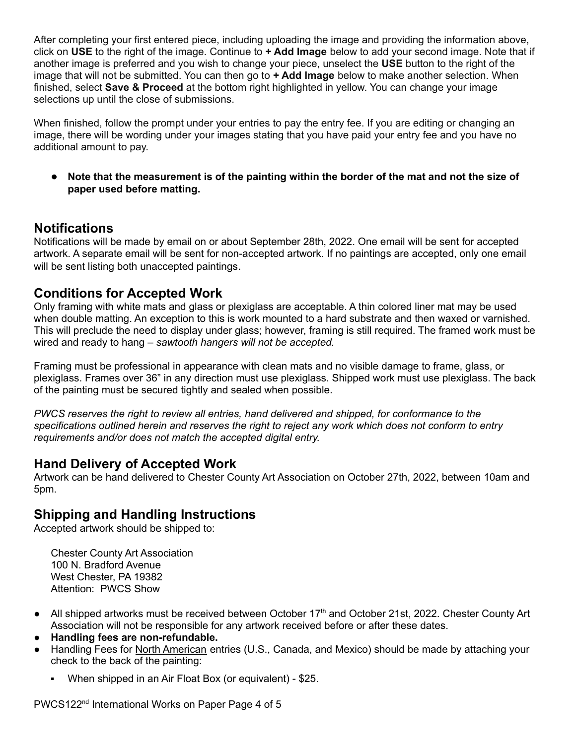After completing your first entered piece, including uploading the image and providing the information above, click on **USE** to the right of the image. Continue to **+ Add Image** below to add your second image. Note that if another image is preferred and you wish to change your piece, unselect the **USE** button to the right of the image that will not be submitted. You can then go to **+ Add Image** below to make another selection. When finished, select **Save & Proceed** at the bottom right highlighted in yellow. You can change your image selections up until the close of submissions.

When finished, follow the prompt under your entries to pay the entry fee. If you are editing or changing an image, there will be wording under your images stating that you have paid your entry fee and you have no additional amount to pay.

• Note that the measurement is of the painting within the border of the mat and not the size of **paper used before matting.**

#### **Notifications**

Notifications will be made by email on or about September 28th, 2022. One email will be sent for accepted artwork. A separate email will be sent for non-accepted artwork. If no paintings are accepted, only one email will be sent listing both unaccepted paintings.

#### **Conditions for Accepted Work**

Only framing with white mats and glass or plexiglass are acceptable. A thin colored liner mat may be used when double matting. An exception to this is work mounted to a hard substrate and then waxed or varnished. This will preclude the need to display under glass; however, framing is still required. The framed work must be wired and ready to hang – *sawtooth hangers will not be accepted.*

Framing must be professional in appearance with clean mats and no visible damage to frame, glass, or plexiglass. Frames over 36" in any direction must use plexiglass. Shipped work must use plexiglass. The back of the painting must be secured tightly and sealed when possible.

*PWCS reserves the right to review all entries, hand delivered and shipped, for conformance to the specifications outlined herein and reserves the right to reject any work which does not conform to entry requirements and/or does not match the accepted digital entry.*

#### **Hand Delivery of Accepted Work**

Artwork can be hand delivered to Chester County Art Association on October 27th, 2022, between 10am and 5pm.

#### **Shipping and Handling Instructions**

Accepted artwork should be shipped to:

Chester County Art Association 100 N. Bradford Avenue West Chester, PA 19382 Attention: PWCS Show

- All shipped artworks must be received between October 17<sup>th</sup> and October 21st, 2022. Chester County Art Association will not be responsible for any artwork received before or after these dates.
- **● Handling fees are non-refundable.**
- Handling Fees for North American entries (U.S., Canada, and Mexico) should be made by attaching your check to the back of the painting:
	- When shipped in an Air Float Box (or equivalent) \$25.

PWCS122<sup>nd</sup> International Works on Paper Page 4 of 5